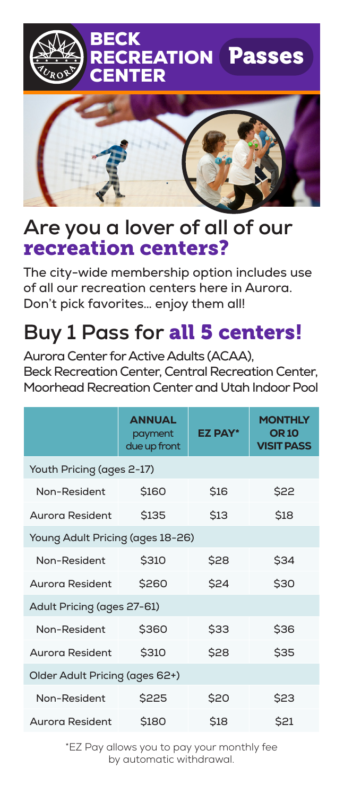

### **Are you a lover of all of our**  recreation centers?

The city-wide membership option includes use of all our recreation centers here in Aurora. Don't pick favorites… enjoy them all!

# **Buy 1 Pass for** all 5 centers!

Aurora Center for Active Adults (ACAA), Beck Recreation Center, Central Recreation Center, Moorhead Recreation Center and Utah Indoor Pool

|                                  | <b>ANNUAL</b><br>payment<br>due up front | <b>EZ PAY*</b> | <b>MONTHLY</b><br><b>OR 10</b><br><b>VISIT PASS</b> |  |
|----------------------------------|------------------------------------------|----------------|-----------------------------------------------------|--|
| Youth Pricing (ages 2-17)        |                                          |                |                                                     |  |
| Non-Resident                     | \$160                                    | <b>\$16</b>    | \$22                                                |  |
| Aurora Resident                  | <b>\$135</b>                             | <b>\$13</b>    | \$18                                                |  |
| Young Adult Pricing (ages 18-26) |                                          |                |                                                     |  |
| Non-Resident                     | <b>\$310</b>                             | \$28           | \$34                                                |  |
| Aurora Resident                  | \$260                                    | \$24           | \$30                                                |  |
| Adult Pricing (ages 27-61)       |                                          |                |                                                     |  |
| Non-Resident                     | \$360                                    | \$33           | \$36                                                |  |
| Aurora Resident                  | \$310                                    | \$28           | \$35                                                |  |
| Older Adult Pricing (ages 62+)   |                                          |                |                                                     |  |
| Non-Resident                     | \$225                                    | \$20           | \$23                                                |  |
| Aurora Resident                  | \$180                                    | \$18           | \$21                                                |  |

\*EZ Pay allows you to pay your monthly fee by automatic withdrawal.